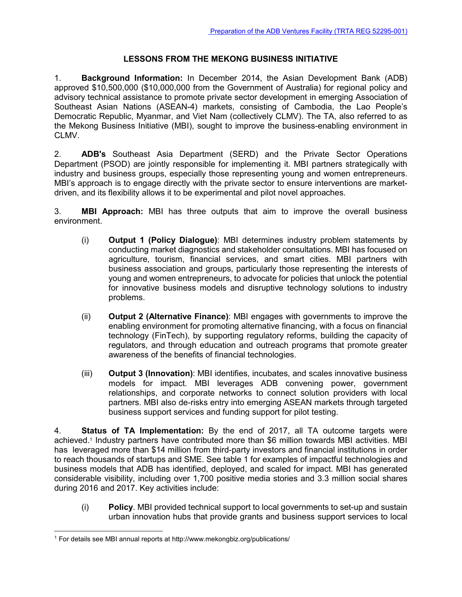## **LESSONS FROM THE MEKONG BUSINESS INITIATIVE**

1. **Background Information:** In December 2014, the Asian Development Bank (ADB) approved \$10,500,000 (\$10,000,000 from the Government of Australia) for regional policy and advisory technical assistance to promote private sector development in emerging Association of Southeast Asian Nations (ASEAN-4) markets, consisting of Cambodia, the Lao People's Democratic Republic, Myanmar, and Viet Nam (collectively CLMV). The TA, also referred to as the Mekong Business Initiative (MBI), sought to improve the business-enabling environment in CLMV.

2. **ADB's** Southeast Asia Department (SERD) and the Private Sector Operations Department (PSOD) are jointly responsible for implementing it. MBI partners strategically with industry and business groups, especially those representing young and women entrepreneurs. MBI's approach is to engage directly with the private sector to ensure interventions are marketdriven, and its flexibility allows it to be experimental and pilot novel approaches.

3. **MBI Approach:** MBI has three outputs that aim to improve the overall business environment.

- (i) **Output 1 (Policy Dialogue)**: MBI determines industry problem statements by conducting market diagnostics and stakeholder consultations. MBI has focused on agriculture, tourism, financial services, and smart cities. MBI partners with business association and groups, particularly those representing the interests of young and women entrepreneurs, to advocate for policies that unlock the potential for innovative business models and disruptive technology solutions to industry problems.
- (ii) **Output 2 (Alternative Finance)**: MBI engages with governments to improve the enabling environment for promoting alternative financing, with a focus on financial technology (FinTech), by supporting regulatory reforms, building the capacity of regulators, and through education and outreach programs that promote greater awareness of the benefits of financial technologies.
- (iii) **Output 3 (Innovation)**: MBI identifies, incubates, and scales innovative business models for impact. MBI leverages ADB convening power, government relationships, and corporate networks to connect solution providers with local partners. MBI also de-risks entry into emerging ASEAN markets through targeted business support services and funding support for pilot testing.

4. **Status of TA Implementation:** By the end of 2017, all TA outcome targets were achieved.<sup>1</sup> Industry partners have contributed more than \$6 million towards MBI activities. MBI has leveraged more than \$14 million from third-party investors and financial institutions in order to reach thousands of startups and SME. See table 1 for examples of impactful technologies and business models that ADB has identified, deployed, and scaled for impact. MBI has generated considerable visibility, including over 1,700 positive media stories and 3.3 million social shares during 2016 and 2017. Key activities include:

(i) **Policy**. MBI provided technical support to local governments to set-up and sustain urban innovation hubs that provide grants and business support services to local

<sup>-</sup><sup>1</sup> For details see MBI annual reports at http://www.mekongbiz.org/publications/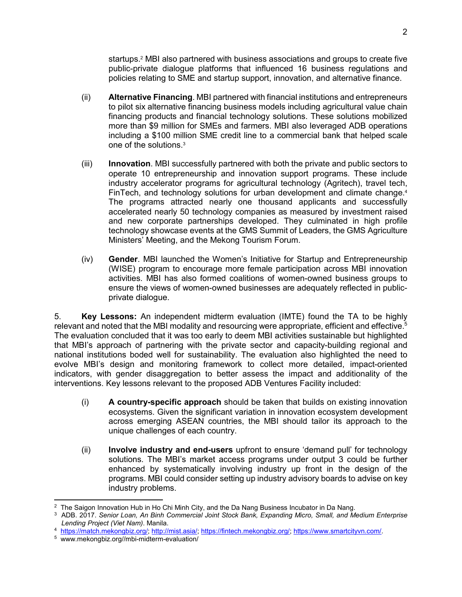startups.<sup>2</sup> MBI also partnered with business associations and groups to create five public-private dialogue platforms that influenced 16 business regulations and policies relating to SME and startup support, innovation, and alternative finance.

- (ii) **Alternative Financing**. MBI partnered with financial institutions and entrepreneurs to pilot six alternative financing business models including agricultural value chain financing products and financial technology solutions. These solutions mobilized more than \$9 million for SMEs and farmers. MBI also leveraged ADB operations including a \$100 million SME credit line to a commercial bank that helped scale one of the solutions.<sup>3</sup>
- (iii) **Innovation**. MBI successfully partnered with both the private and public sectors to operate 10 entrepreneurship and innovation support programs. These include industry accelerator programs for agricultural technology (Agritech), travel tech, FinTech, and technology solutions for urban development and climate change.<sup>4</sup> The programs attracted nearly one thousand applicants and successfully accelerated nearly 50 technology companies as measured by investment raised and new corporate partnerships developed. They culminated in high profile technology showcase events at the GMS Summit of Leaders, the GMS Agriculture Ministers' Meeting, and the Mekong Tourism Forum.
- (iv) **Gender**. MBI launched the Women's Initiative for Startup and Entrepreneurship (WISE) program to encourage more female participation across MBI innovation activities. MBI has also formed coalitions of women-owned business groups to ensure the views of women-owned businesses are adequately reflected in publicprivate dialogue.

5. **Key Lessons:** An independent midterm evaluation (IMTE) found the TA to be highly relevant and noted that the MBI modality and resourcing were appropriate, efficient and effective.<sup>5</sup> The evaluation concluded that it was too early to deem MBI activities sustainable but highlighted that MBI's approach of partnering with the private sector and capacity-building regional and national institutions boded well for sustainability. The evaluation also highlighted the need to evolve MBI's design and monitoring framework to collect more detailed, impact-oriented indicators, with gender disaggregation to better assess the impact and additionality of the interventions. Key lessons relevant to the proposed ADB Ventures Facility included:

- (i) **A country-specific approach** should be taken that builds on existing innovation ecosystems. Given the significant variation in innovation ecosystem development across emerging ASEAN countries, the MBI should tailor its approach to the unique challenges of each country.
- (ii) **Involve industry and end-users** upfront to ensure 'demand pull' for technology solutions. The MBI's market access programs under output 3 could be further enhanced by systematically involving industry up front in the design of the programs. MBI could consider setting up industry advisory boards to advise on key industry problems.

 $\overline{a}$ <sup>2</sup> The Saigon Innovation Hub in Ho Chi Minh City, and the Da Nang Business Incubator in Da Nang.

<sup>3</sup> ADB. 2017. *Senior Loan, An Binh Commercial Joint Stock Bank, Expanding Micro, Small, and Medium Enterprise Lending Project (Viet Nam)*. Manila.

<sup>4</sup> https://match.mekongbiz.org/; http://mist.asia/; https://fintech.mekongbiz.org/; https://www.smartcityvn.com/.

<sup>5</sup> www.mekongbiz.org//mbi-midterm-evaluation/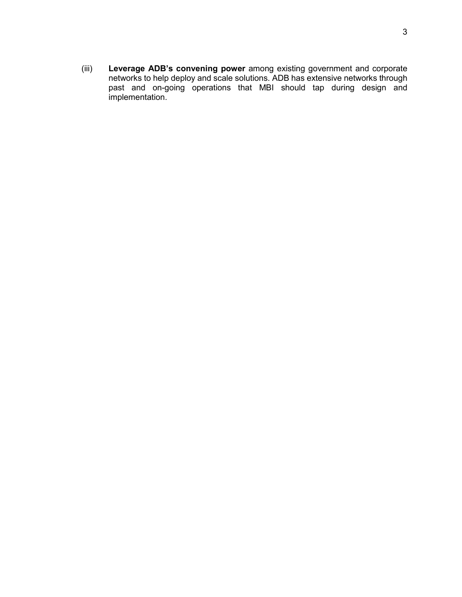(iii) **Leverage ADB's convening power** among existing government and corporate networks to help deploy and scale solutions. ADB has extensive networks through past and on-going operations that MBI should tap during design and implementation.